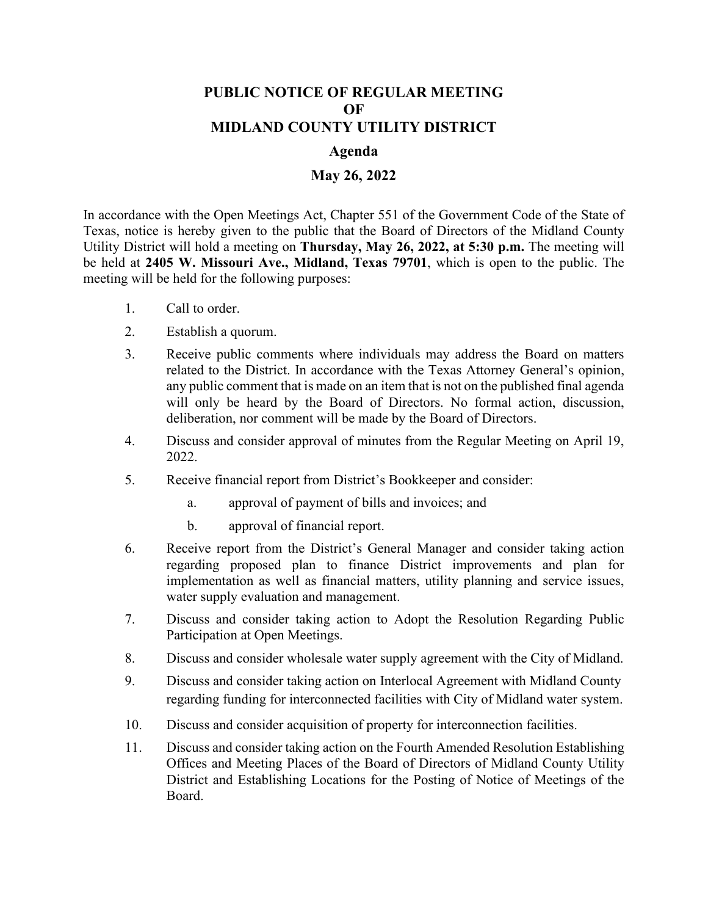## **PUBLIC NOTICE OF REGULAR MEETING OF MIDLAND COUNTY UTILITY DISTRICT**

## **Agenda**

## **May 26, 2022**

In accordance with the Open Meetings Act, Chapter 551 of the Government Code of the State of Texas, notice is hereby given to the public that the Board of Directors of the Midland County Utility District will hold a meeting on **Thursday, May 26, 2022, at 5:30 p.m.** The meeting will be held at **2405 W. Missouri Ave., Midland, Texas 79701**, which is open to the public. The meeting will be held for the following purposes:

- 1. Call to order.
- 2. Establish a quorum.
- 3. Receive public comments where individuals may address the Board on matters related to the District. In accordance with the Texas Attorney General's opinion, any public comment that is made on an item that is not on the published final agenda will only be heard by the Board of Directors. No formal action, discussion, deliberation, nor comment will be made by the Board of Directors.
- 4. Discuss and consider approval of minutes from the Regular Meeting on April 19, 2022.
- 5. Receive financial report from District's Bookkeeper and consider:
	- a. approval of payment of bills and invoices; and
	- b. approval of financial report.
- 6. Receive report from the District's General Manager and consider taking action regarding proposed plan to finance District improvements and plan for implementation as well as financial matters, utility planning and service issues, water supply evaluation and management.
- 7. Discuss and consider taking action to Adopt the Resolution Regarding Public Participation at Open Meetings.
- 8. Discuss and consider wholesale water supply agreement with the City of Midland.
- 9. Discuss and consider taking action on Interlocal Agreement with Midland County regarding funding for interconnected facilities with City of Midland water system.
- 10. Discuss and consider acquisition of property for interconnection facilities.
- 11. Discuss and consider taking action on the Fourth Amended Resolution Establishing Offices and Meeting Places of the Board of Directors of Midland County Utility District and Establishing Locations for the Posting of Notice of Meetings of the Board.